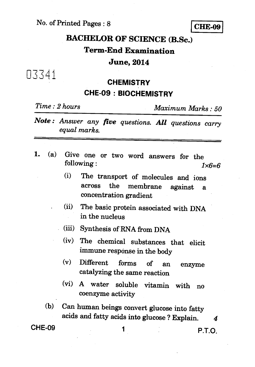No. of Printed Pages : 8 **CHE-09** 

# **BACHELOR OF SCIENCE (B.Sc.) Term-End Examination**

#### **June, 2014**

03341

#### **CHEMISTRY CHE-09 : BIOCHEMISTRY**

*Time : 2 hours Maximum Marks : 50* 

- *Note : Answer any five questions. All questions carry equal marks.*
- *1.* (a) Give one or two word answers for the following : *1x6=6* 
	- (i) The transport of molecules and ions across the membrane against a concentration gradient
	- (ii) The basic protein associated with DNA in the nucleus
	- (iii) Synthesis of RNA from DNA
	- (iv) The chemical substances that elicit immune response in the body
	- (v) Different forms of an enzyme catalyzing the same reaction
	- (vi) A water soluble vitamin with no coenzyme activity
	- (b) Can human beings convert glucose into fatty acids and fatty acids into glucose ? Explain. *4*

**CHE-09 1 P.T.O.**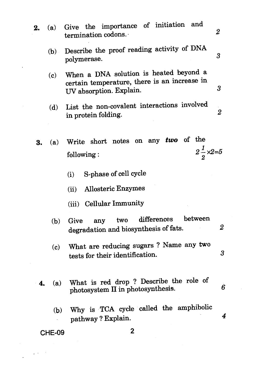- **2.** (a) Give the importance of initiation and 2 termination codons. • (b) Describe the proof reading activity of DNA 3 polymerase. (c) When a DNA solution is heated beyond a certain temperature, there is an increase in 3 UV absorption. Explain. (d) List the non-covalent interactions involved  $\overline{2}$ in protein folding. **3.** (a) Write short notes on any *two* of the following :  $2\frac{1}{2} \times 2 = 5$ (i) S-phase of cell cycle Allosteric Enzymes  $(ii)$ (iii) Cellular Immunity (b) Give any two differences between degradation and biosynthesis of fats. (c) What are reducing sugars ? Name any two tests for their identification.
	- **4.** (a) What is red drop ? Describe the role of 6 photosystem **II** in photosynthesis.

 $\boldsymbol{2}$ 

3

4

(b) Why is TCA cycle called the amphibolic pathway ? Explain.

#### **CHE-09 2**

 $\mathbf{r}$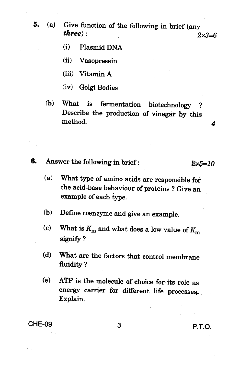- **5. (a) Give function of the following in brief (any three**):  $2x3=6$ 
	- **(i) Plasmid DNA**
	- **(ii) Vasopressin**
	- **(iii) Vitamin A**
	- **(iv) Golgi Bodies**
	- (b) What is fermentation biotechnology **Describe the production of vinegar by this method.** 4
- **6.** Answer the following in brief :  $2 \times 5 = 10$

- **(a) What type of amino acids are responsible for the acid-base behaviour of proteins ? Give an**  example of each type.
- **(b) Define coenzyme and give an example.**
- (c) What is  $K_m$  and what does a low value of  $K_m$ **signify ?**
- **(d) What are the factors that control membrane fluidity ?**
- **(e) ATP is the molecule of choice for its role as energy carrier for different life processes. Explain.**

**CHE-09 3 P.T.O.**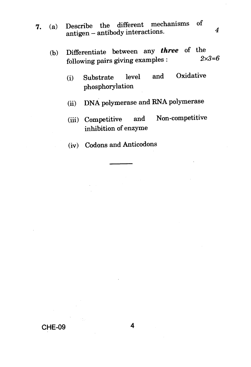- *7.* (a) Describe the different mechanisms of antigen — antibody interactions. *4* 
	- (b) Differentiate between any *three* of the<br> $c_1$ lexing point giving examples  $2 \times 3 = 6$ following pairs giving examples : *2x3=6* 
		- (i) Substrate level and Oxidative phosphorylation
		- (ii) DNA polymerase and RNA polymerase
		- (iii) Competitive and Non-competitive inhibition of enzyme
		- (iv) Codons and Anticodons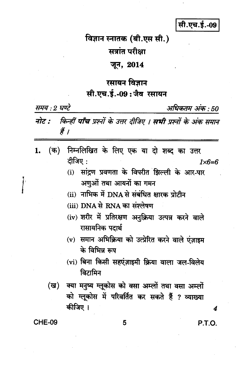## सी.एच.ई.-09

#### विज्ञान स्नातक (बी.एस सी.)

## सत्रांत परीक्षा

#### जून, 2014

### रसायन विज्ञान सी.एच.ई.-09:जैव रसायन

| समय : २ घण्ट<br>अधिकतम अक : 50 |                                                                                                                                                                                                                                                                                                                                                                                                                                                                                       |               |
|--------------------------------|---------------------------------------------------------------------------------------------------------------------------------------------------------------------------------------------------------------------------------------------------------------------------------------------------------------------------------------------------------------------------------------------------------------------------------------------------------------------------------------|---------------|
| नोट :                          | किन्हीं <b>पाँच</b> प्रश्नों के उत्तर दीजिए । <b>सभी</b> प्रश्नों के अंक समान<br>हैं ।                                                                                                                                                                                                                                                                                                                                                                                                |               |
| (क)<br>1.<br>(ख)               | निम्नलिखित के लिए एक या दो शब्द का उत्तर<br>दीजिए :<br>सांद्रण प्रवणता के विपरीत झिल्ली के आर-पार<br>(i)<br>अणुओं तथा आयनों का गमन<br>(ii) नाभिक में DNA से संबंधित क्षारक प्रोटीन<br>(iii) DNA से RNA का संश्लेषण<br>(iv) शरीर में प्रतिरक्षण अनुक्रिया उत्पन्न करने वाले<br>रासायनिक पदार्थ<br>(v) समान अभिक्रिया को उत्प्रेरित करने वाले एज़ाइम<br>के विभिन्न रूप<br>(vi) बिना किसी सहएंज़ाइमी क्रिया वाला जल-विलेय<br>विटामिन<br>क्या मनुष्य ग्लूकोस को वसा अम्लों तथा वसा अम्लों | $1\times 6=6$ |
|                                | को ग्लूकोस में परिवर्तित कर सकते हैं ? व्याख्या<br>कीजिए ।                                                                                                                                                                                                                                                                                                                                                                                                                            | 4             |
| <b>CHE-09</b>                  | 5                                                                                                                                                                                                                                                                                                                                                                                                                                                                                     | P.T.O.        |

P.T.O.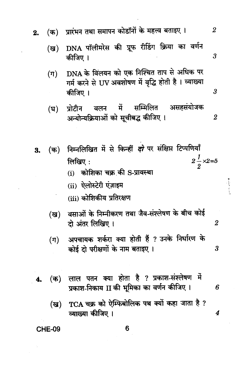| 2. | (क)     | प्रारंभन तथा समापन कोडाँनों के महत्त्व बताइए ।                                                                                                                                                  | 2                |
|----|---------|-------------------------------------------------------------------------------------------------------------------------------------------------------------------------------------------------|------------------|
|    | (ख)     | DNA पॉलीमरेस की प्रूफ रीडिंग क्रिया का वर्णन<br>कीजिए ।                                                                                                                                         | 3                |
|    | $(\pi)$ | DNA के विलयन को एक निश्चित ताप से अधिक पर<br>गर्म करने से UV अवशोषण में वृद्धि होती है। व्याख्या<br>कीजिए ।                                                                                     | 3                |
|    | (घ)     | प्रोटीन वलन में सम्मिलित असहसंयोजक<br>अन्योन्यक्रियाओं को सूचीबद्ध कीजिए ।                                                                                                                      | $\boldsymbol{2}$ |
| 3. | (क)     | निम्नलिखित में से किन्हीं <i>दो</i> पर संक्षिप्त टिप्पणियाँ<br>$2\frac{1}{2} \times 2 = 5$<br>लिखिए:<br>कोशिका चक्र की S-प्रावस्था<br>(i)<br>(ii) ऐलोस्टेरी एंज़ाइम<br>(iii) कोशिकीय प्रतिरक्षण |                  |
|    | (ख)     | वसाओं के निम्नीकरण तथा जैव-संश्लेषण के बीच कोई<br>दो अंतर लिखिए ।                                                                                                                               | $\boldsymbol{2}$ |
|    | (ग)     | अपचायक शर्करा क्या होती हैं ? उनके निर्धारण के<br>कोई दो परीक्षणों के नाम बताइए।                                                                                                                | 3                |
| 4. | (क)     | लाल पतन क्या होता है ? प्रकाश-संश्लेषण में<br>प्रकाश-निकाय II की भूमिका का वर्णन कीजिए ।                                                                                                        | 6                |
|    | (ख)     | $TCA$ चक्र को ऐम्फिबोलिक पथ क्यों कहा जाता है ?<br>व्याख्या कीजिए ।                                                                                                                             | 4                |

 $\begin{picture}(20,5) \put(0,0){\vector(0,1){10}} \put(15,0){\vector(0,1){10}} \put(15,0){\vector(0,1){10}} \put(15,0){\vector(0,1){10}} \put(15,0){\vector(0,1){10}} \put(15,0){\vector(0,1){10}} \put(15,0){\vector(0,1){10}} \put(15,0){\vector(0,1){10}} \put(15,0){\vector(0,1){10}} \put(15,0){\vector(0,1){10}} \put(15,0){\vector(0,1){10}} \put(15,0){\vector(0,$ 

**CHE-09** 

 $\ddot{\phantom{a}}$ 

 $\boldsymbol{6}$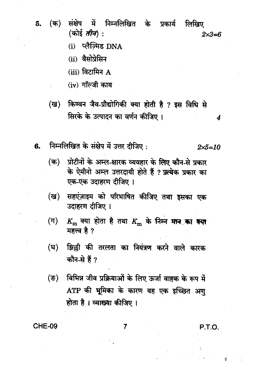- संक्षेप में निम्नलिखित के प्रकार्य (क) लिखिए 5. (कोई *तीन*) :  $2 \times 3 = 6$ 
	- (i) प्लैन्मिड  $DNA$
	- (ii) वैसोप्रेसिन
	- $(iii)$  विटामिन  $A$
	- (iv) गॉल्जी काय
	- किण्वन जैव-प्रौद्योगिकी क्या होती है ? इस विधि से (ख) सिरके के उत्पादन का वर्णन कीजिए ।
- निम्नलिखित के संक्षेप में उत्तर दीजिए: 6.  $2 \times 5 = 10$ 
	- प्रोटीनों के अम्ल-क्षारक व्यवहार के लिए कौन-से प्रकार (क) के ऐमीनो अम्ल उत्तरदायी होते हैं ? प्रत्येक प्रकार का एक-एक उदाहरण दीजिए ।
	- सहएंज़ाइम को परिभाषित कीजिए तथा इसका एक (ख) उदाहरण दीजिए ।
	- $K_{\rm m}$  क्या होता है तथा  $K_{\rm m}$  के निम्न मान का क्या  $(\pi)$ महत्त्व है ?
	- झिल्ली की तरलता का नियंत्रण करने वाले कारक (घ) कौन-से हैं ?
	- विभिन्न जीव प्रक्रियाओं के लिए ऊर्जा वाहक के रूप में (ভ) ATP की भूमिका के कारण यह एक इच्छित अण होता है । व्याख्या कीजिए ।

**CHE-09** 

P.T.O.

4